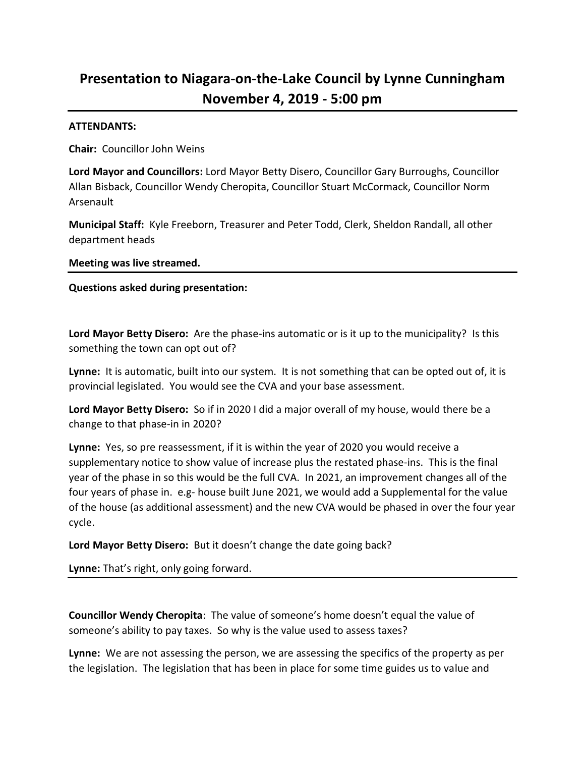# **Presentation to Niagara-on-the-Lake Council by Lynne Cunningham November 4, 2019 - 5:00 pm**

#### **ATTENDANTS:**

**Chair:** Councillor John Weins

**Lord Mayor and Councillors:** Lord Mayor Betty Disero, Councillor Gary Burroughs, Councillor Allan Bisback, Councillor Wendy Cheropita, Councillor Stuart McCormack, Councillor Norm Arsenault

**Municipal Staff:** Kyle Freeborn, Treasurer and Peter Todd, Clerk, Sheldon Randall, all other department heads

**Meeting was live streamed.** 

**Questions asked during presentation:**

**Lord Mayor Betty Disero:** Are the phase-ins automatic or is it up to the municipality? Is this something the town can opt out of?

**Lynne:** It is automatic, built into our system. It is not something that can be opted out of, it is provincial legislated. You would see the CVA and your base assessment.

**Lord Mayor Betty Disero:** So if in 2020 I did a major overall of my house, would there be a change to that phase-in in 2020?

**Lynne:** Yes, so pre reassessment, if it is within the year of 2020 you would receive a supplementary notice to show value of increase plus the restated phase-ins. This is the final year of the phase in so this would be the full CVA. In 2021, an improvement changes all of the four years of phase in. e.g- house built June 2021, we would add a Supplemental for the value of the house (as additional assessment) and the new CVA would be phased in over the four year cycle.

**Lord Mayor Betty Disero:** But it doesn't change the date going back?

**Lynne:** That's right, only going forward.

**Councillor Wendy Cheropita**: The value of someone's home doesn't equal the value of someone's ability to pay taxes. So why is the value used to assess taxes?

**Lynne:** We are not assessing the person, we are assessing the specifics of the property as per the legislation. The legislation that has been in place for some time guides us to value and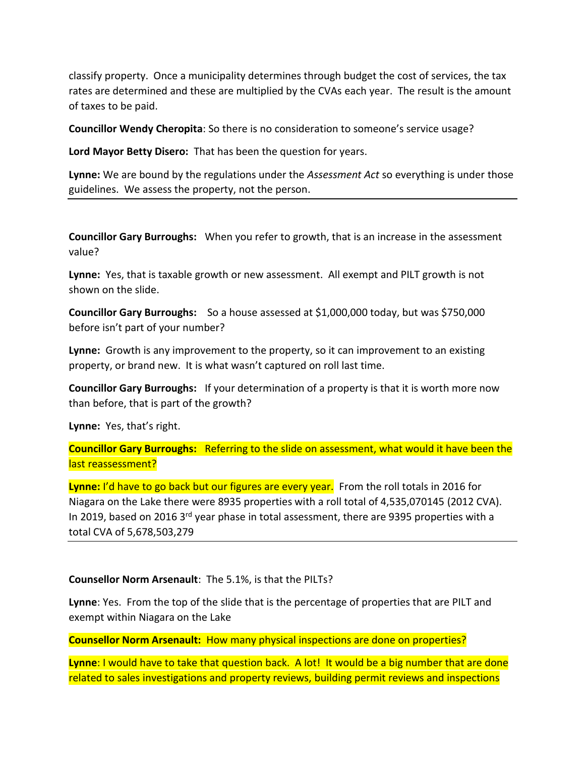classify property. Once a municipality determines through budget the cost of services, the tax rates are determined and these are multiplied by the CVAs each year. The result is the amount of taxes to be paid.

**Councillor Wendy Cheropita**: So there is no consideration to someone's service usage?

**Lord Mayor Betty Disero:** That has been the question for years.

**Lynne:** We are bound by the regulations under the *Assessment Act* so everything is under those guidelines. We assess the property, not the person.

**Councillor Gary Burroughs:** When you refer to growth, that is an increase in the assessment value?

**Lynne:** Yes, that is taxable growth or new assessment. All exempt and PILT growth is not shown on the slide.

**Councillor Gary Burroughs:** So a house assessed at \$1,000,000 today, but was \$750,000 before isn't part of your number?

**Lynne:** Growth is any improvement to the property, so it can improvement to an existing property, or brand new. It is what wasn't captured on roll last time.

**Councillor Gary Burroughs:** If your determination of a property is that it is worth more now than before, that is part of the growth?

**Lynne:** Yes, that's right.

**Councillor Gary Burroughs:** Referring to the slide on assessment, what would it have been the last reassessment?

**Lynne:** I'd have to go back but our figures are every year. From the roll totals in 2016 for Niagara on the Lake there were 8935 properties with a roll total of 4,535,070145 (2012 CVA). In 2019, based on 2016 3<sup>rd</sup> year phase in total assessment, there are 9395 properties with a total CVA of 5,678,503,279

## **Counsellor Norm Arsenault**: The 5.1%, is that the PILTs?

**Lynne**: Yes. From the top of the slide that is the percentage of properties that are PILT and exempt within Niagara on the Lake

**Counsellor Norm Arsenault:** How many physical inspections are done on properties?

**Lynne:** I would have to take that question back. A lot! It would be a big number that are done related to sales investigations and property reviews, building permit reviews and inspections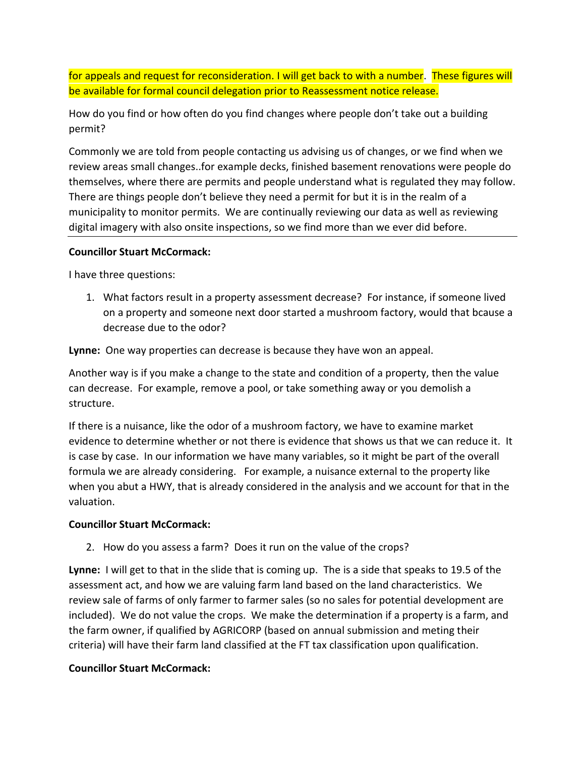for appeals and request for reconsideration. I will get back to with a number. These figures will be available for formal council delegation prior to Reassessment notice release.

How do you find or how often do you find changes where people don't take out a building permit?

Commonly we are told from people contacting us advising us of changes, or we find when we review areas small changes..for example decks, finished basement renovations were people do themselves, where there are permits and people understand what is regulated they may follow. There are things people don't believe they need a permit for but it is in the realm of a municipality to monitor permits. We are continually reviewing our data as well as reviewing digital imagery with also onsite inspections, so we find more than we ever did before.

## **Councillor Stuart McCormack:**

I have three questions:

1. What factors result in a property assessment decrease? For instance, if someone lived on a property and someone next door started a mushroom factory, would that bcause a decrease due to the odor?

**Lynne:** One way properties can decrease is because they have won an appeal.

Another way is if you make a change to the state and condition of a property, then the value can decrease. For example, remove a pool, or take something away or you demolish a structure.

If there is a nuisance, like the odor of a mushroom factory, we have to examine market evidence to determine whether or not there is evidence that shows us that we can reduce it. It is case by case. In our information we have many variables, so it might be part of the overall formula we are already considering. For example, a nuisance external to the property like when you abut a HWY, that is already considered in the analysis and we account for that in the valuation.

## **Councillor Stuart McCormack:**

2. How do you assess a farm? Does it run on the value of the crops?

**Lynne:** I will get to that in the slide that is coming up. The is a side that speaks to 19.5 of the assessment act, and how we are valuing farm land based on the land characteristics. We review sale of farms of only farmer to farmer sales (so no sales for potential development are included). We do not value the crops. We make the determination if a property is a farm, and the farm owner, if qualified by AGRICORP (based on annual submission and meting their criteria) will have their farm land classified at the FT tax classification upon qualification.

# **Councillor Stuart McCormack:**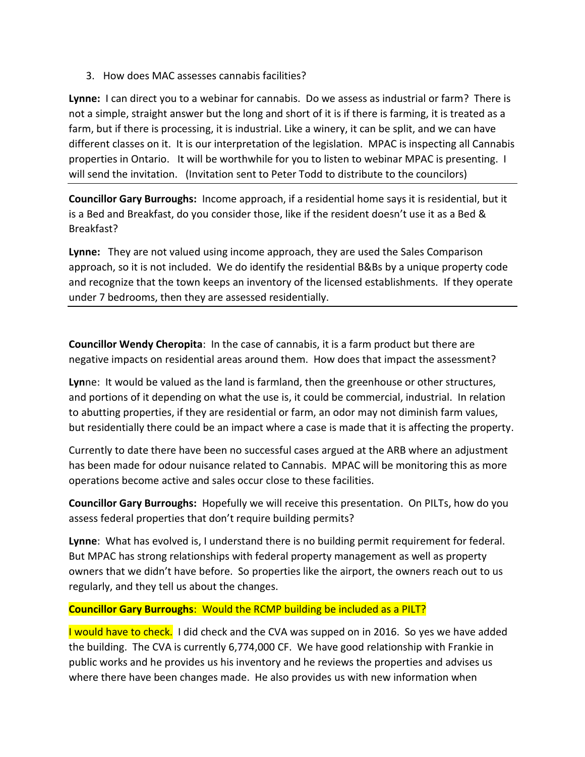3. How does MAC assesses cannabis facilities?

**Lynne:** I can direct you to a webinar for cannabis. Do we assess as industrial or farm? There is not a simple, straight answer but the long and short of it is if there is farming, it is treated as a farm, but if there is processing, it is industrial. Like a winery, it can be split, and we can have different classes on it. It is our interpretation of the legislation. MPAC is inspecting all Cannabis properties in Ontario. It will be worthwhile for you to listen to webinar MPAC is presenting. I will send the invitation. (Invitation sent to Peter Todd to distribute to the councilors)

**Councillor Gary Burroughs:** Income approach, if a residential home says it is residential, but it is a Bed and Breakfast, do you consider those, like if the resident doesn't use it as a Bed & Breakfast?

**Lynne:** They are not valued using income approach, they are used the Sales Comparison approach, so it is not included. We do identify the residential B&Bs by a unique property code and recognize that the town keeps an inventory of the licensed establishments. If they operate under 7 bedrooms, then they are assessed residentially.

**Councillor Wendy Cheropita**: In the case of cannabis, it is a farm product but there are negative impacts on residential areas around them. How does that impact the assessment?

**Lyn**ne: It would be valued as the land is farmland, then the greenhouse or other structures, and portions of it depending on what the use is, it could be commercial, industrial. In relation to abutting properties, if they are residential or farm, an odor may not diminish farm values, but residentially there could be an impact where a case is made that it is affecting the property.

Currently to date there have been no successful cases argued at the ARB where an adjustment has been made for odour nuisance related to Cannabis. MPAC will be monitoring this as more operations become active and sales occur close to these facilities.

**Councillor Gary Burroughs:** Hopefully we will receive this presentation. On PILTs, how do you assess federal properties that don't require building permits?

**Lynne**: What has evolved is, I understand there is no building permit requirement for federal. But MPAC has strong relationships with federal property management as well as property owners that we didn't have before. So properties like the airport, the owners reach out to us regularly, and they tell us about the changes.

# **Councillor Gary Burroughs**: Would the RCMP building be included as a PILT?

I would have to check. I did check and the CVA was supped on in 2016. So yes we have added the building. The CVA is currently 6,774,000 CF. We have good relationship with Frankie in public works and he provides us his inventory and he reviews the properties and advises us where there have been changes made. He also provides us with new information when